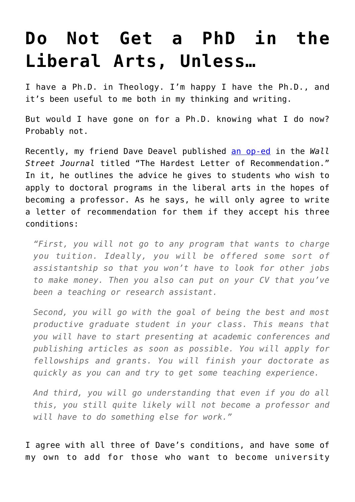# **[Do Not Get a PhD in the](https://intellectualtakeout.org/2018/02/do-not-get-a-phd-in-the-liberal-arts-unless/) [Liberal Arts, Unless…](https://intellectualtakeout.org/2018/02/do-not-get-a-phd-in-the-liberal-arts-unless/)**

I have a Ph.D. in Theology. I'm happy I have the Ph.D., and it's been useful to me both in my thinking and writing.

But would I have gone on for a Ph.D. knowing what I do now? Probably not.

Recently, my friend Dave Deavel published [an op-ed](https://www.wsj.com/articles/the-hardest-letter-of-recommendation-1519343828) in the *Wall Street Journal* titled "The Hardest Letter of Recommendation." In it, he outlines the advice he gives to students who wish to apply to doctoral programs in the liberal arts in the hopes of becoming a professor. As he says, he will only agree to write a letter of recommendation for them if they accept his three conditions:

*"First, you will not go to any program that wants to charge you tuition. Ideally, you will be offered some sort of assistantship so that you won't have to look for other jobs to make money. Then you also can put on your CV that you've been a teaching or research assistant.*

*Second, you will go with the goal of being the best and most productive graduate student in your class. This means that you will have to start presenting at academic conferences and publishing articles as soon as possible. You will apply for fellowships and grants. You will finish your doctorate as quickly as you can and try to get some teaching experience.*

*And third, you will go understanding that even if you do all this, you still quite likely will not become a professor and will have to do something else for work."*

I agree with all three of Dave's conditions, and have some of my own to add for those who want to become university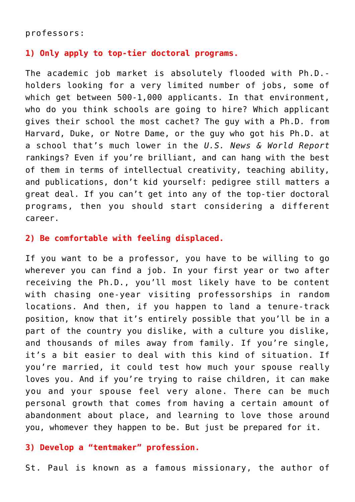#### professors:

#### **1) Only apply to top-tier doctoral programs.**

The academic job market is absolutely flooded with Ph.D. holders looking for a very limited number of jobs, some of which get between 500-1,000 applicants. In that environment, who do you think schools are going to hire? Which applicant gives their school the most cachet? The guy with a Ph.D. from Harvard, Duke, or Notre Dame, or the guy who got his Ph.D. at a school that's much lower in the *U.S. News & World Report* rankings? Even if you're brilliant, and can hang with the best of them in terms of intellectual creativity, teaching ability, and publications, don't kid yourself: pedigree still matters a great deal. If you can't get into any of the top-tier doctoral programs, then you should start considering a different career.

### **2) Be comfortable with feeling displaced.**

If you want to be a professor, you have to be willing to go wherever you can find a job. In your first year or two after receiving the Ph.D., you'll most likely have to be content with chasing one-year visiting professorships in random locations. And then, if you happen to land a tenure-track position, know that it's entirely possible that you'll be in a part of the country you dislike, with a culture you dislike, and thousands of miles away from family. If you're single, it's a bit easier to deal with this kind of situation. If you're married, it could test how much your spouse really loves you. And if you're trying to raise children, it can make you and your spouse feel very alone. There can be much personal growth that comes from having a certain amount of abandonment about place, and learning to love those around you, whomever they happen to be. But just be prepared for it.

## **3) Develop a "tentmaker" profession.**

St. Paul is known as a famous missionary, the author of